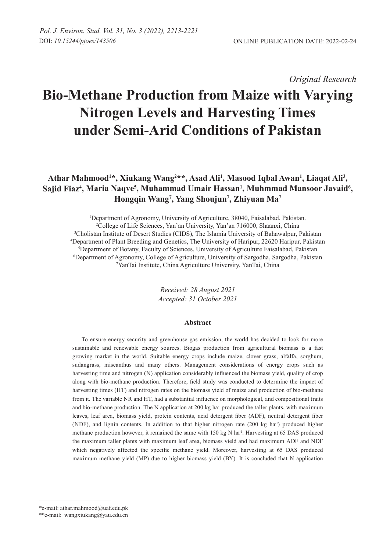*Original Research* 

# **Bio-Methane Production from Maize with Varying Nitrogen Levels and Harvesting Times under Semi-Arid Conditions of Pakistan**

Athar Mahmood<sup>1\*</sup>, Xiukang Wang<sup>2\*\*</sup>, Asad Ali<sup>1</sup>, Masood Iqbal Awan<sup>1</sup>, Liaqat Ali<sup>3</sup>, Sajid Fiaz<sup>4</sup>, Maria Naqve<sup>5</sup>, Muhammad Umair Hassan<sup>1</sup>, Muhmmad Mansoor Javaid<sup>6</sup>, **Hongqin Wang7 , Yang Shoujun7 , Zhiyuan Ma7**

 Department of Agronomy, University of Agriculture, 38040, Faisalabad, Pakistan. College of Life Sciences, Yan'an University, Yan'an 716000, Shaanxi, China Cholistan Institute of Desert Studies (CIDS), The Islamia University of Bahawalpur, Pakistan Department of Plant Breeding and Genetics, The University of Haripur, 22620 Haripur, Pakistan Department of Botany, Faculty of Sciences, University of Agriculture Faisalabad, Pakistan Department of Agronomy, College of Agriculture, University of Sargodha, Sargodha, Pakistan YanTai Institute, China Agriculture University, YanTai, China

> *Received: 28 August 2021 Accepted: 31 October 2021*

#### **Abstract**

To ensure energy security and greenhouse gas emission, the world has decided to look for more sustainable and renewable energy sources. Biogas production from agricultural biomass is a fast growing market in the world. Suitable energy crops include maize, clover grass, alfalfa, sorghum, sudangrass, miscanthus and many others. Management considerations of energy crops such as harvesting time and nitrogen (N) application considerably influenced the biomass yield, quality of crop along with bio-methane production. Therefore, field study was conducted to determine the impact of harvesting times (HT) and nitrogen rates on the biomass yield of maize and production of bio-methane from it. The variable NR and HT, had a substantial influence on morphological, and compositional traits and bio-methane production. The N application at 200 kg ha<sup>-1</sup> produced the taller plants, with maximum leaves, leaf area, biomass yield, protein contents, acid detergent fiber (ADF), neutral detergent fiber (NDF), and lignin contents. In addition to that higher nitrogen rate (200 kg ha-1) produced higher methane production however, it remained the same with 150 kg N ha<sup>-1</sup>. Harvesting at 65 DAS produced the maximum taller plants with maximum leaf area, biomass yield and had maximum ADF and NDF which negatively affected the specific methane yield. Moreover, harvesting at 65 DAS produced maximum methane yield (MP) due to higher biomass yield (BY). It is concluded that N application

<sup>\*</sup>e-mail: athar.mahmood@uaf.edu.pk

<sup>\*\*</sup>e-mail: wangxiukang@yau.edu.cn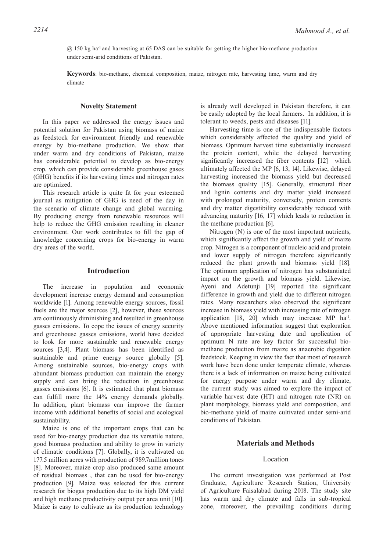@ 150 kg ha-1 and harvesting at 65 DAS can be suitable for getting the higher bio-methane production under semi-arid conditions of Pakistan.

**Keywords**: bio-methane, chemical composition, maize, nitrogen rate, harvesting time, warm and dry climate

#### **Novelty Statement**

In this paper we addressed the energy issues and potential solution for Pakistan using biomass of maize as feedstock for environment friendly and renewable energy by bio-methane production. We show that under warm and dry conditions of Pakistan, maize has considerable potential to develop as bio-energy crop, which can provide considerable greenhouse gases (GHG) benefits if its harvesting times and nitrogen rates are optimized.

This research article is quite fit for your esteemed journal as mitigation of GHG is need of the day in the scenario of climate change and global warming. By producing energy from renewable resources will help to reduce the GHG emission resulting in cleaner environment. Our work contributes to fill the gap of knowledge concerning crops for bio-energy in warm dry areas of the world.

## **Introduction**

The increase in population and economic development increase energy demand and consumption worldwide [1]. Among renewable energy sources, fossil fuels are the major sources [2], however, these sources are continuously diminishing and resulted in greenhouse gasses emissions. To cope the issues of energy security and greenhouse gasses emissions, world have decided to look for more sustainable and renewable energy sources [3,4]. Plant biomass has been identified as sustainable and prime energy source globally [5]. Among sustainable sources, bio-energy crops with abundant biomass production can maintain the energy supply and can bring the reduction in greenhouse gasses emissions [6]. It is estimated that plant biomass can fulfill more the 14% energy demands globally. In addition, plant biomass can improve the farmer income with additional benefits of social and ecological sustainability.

Maize is one of the important crops that can be used for bio-energy production due its versatile nature, good biomass production and ability to grow in variety of climatic conditions [7]. Globally, it is cultivated on 177.5 million acres with production of 989.7million tones [8]. Moreover, maize crop also produced same amount of residual biomass , that can be used for bio-energy production [9]. Maize was selected for this current research for biogas production due to its high DM yield and high methane productivity output per area unit [10]. Maize is easy to cultivate as its production technology

is already well developed in Pakistan therefore, it can be easily adopted by the local farmers. In addition, it is tolerant to weeds, pests and diseases [11].

Harvesting time is one of the indispensable factors which considerably affected the quality and yield of biomass. Optimum harvest time substantially increased the protein content, while the delayed harvesting significantly increased the fiber contents [12] which ultimately affected the MP [6, 13, 14]. Likewise, delayed harvesting increased the biomass yield but decreased the biomass quality [15]. Generally, structural fiber and lignin contents and dry matter yield increased with prolonged maturity, conversely, protein contents and dry matter digestibility considerably reduced with advancing maturity [16, 17] which leads to reduction in the methane production [6].

Nitrogen (N) is one of the most important nutrients, which significantly affect the growth and yield of maize crop. Nitrogen is a component of nucleic acid and protein and lower supply of nitrogen therefore significantly reduced the plant growth and biomass yield [18]. The optimum application of nitrogen has substantiated impact on the growth and biomass yield. Likewise, Ayeni and Adetunji [19] reported the significant difference in growth and yield due to different nitrogen rates. Many researchers also observed the significant increase in biomass yield with increasing rate of nitrogen application  $[18, 20]$  which may increase MP ha<sup>-1</sup>. Above mentioned information suggest that exploration of appropriate harvesting date and application of optimum N rate are key factor for successful biomethane production from maize as anaerobic digestion feedstock. Keeping in view the fact that most of research work have been done under temperate climate, whereas there is a lack of information on maize being cultivated for energy purpose under warm and dry climate, the current study was aimed to explore the impact of variable harvest date (HT) and nitrogen rate (NR) on plant morphology, biomass yield and composition, and bio-methane yield of maize cultivated under semi-arid conditions of Pakistan.

# **Materials and Methods**

# Location

The current investigation was performed at Post Graduate, Agriculture Research Station, University of Agriculture Faisalabad during 2018. The study site has warm and dry climate and falls in sub-tropical zone, moreover, the prevailing conditions during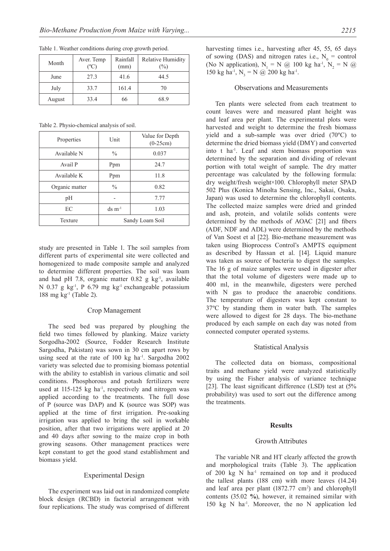| Month  | Aver. Temp<br>$^{\circ}$ C | Rainfall<br>(mm) | <b>Relative Humidity</b><br>$(\%)$ |
|--------|----------------------------|------------------|------------------------------------|
| June   | 27.3                       | 41.6             | 44.5                               |
| July   | 33.7                       | 161.4            | 70                                 |
| August | 33.4                       | 66               | 68.9                               |

Table 1. Weather conditions during crop growth period.

Table 2. Physio-chemical analysis of soil.

| Properties     | Unit            | Value for Depth<br>$(0-25cm)$ |  |  |
|----------------|-----------------|-------------------------------|--|--|
| Available N    | $\%$            | 0.037                         |  |  |
| Avail P        | Ppm             | 24.7                          |  |  |
| Available K    | Ppm             | 11.8                          |  |  |
| Organic matter | $\frac{0}{0}$   | 0.82                          |  |  |
| pН             |                 | 7.77                          |  |  |
| EC             | $ds \, m^{-1}$  | 1.03                          |  |  |
| Texture        | Sandy Loam Soil |                               |  |  |

study are presented in Table 1. The soil samples from different parts of experimental site were collected and homogenized to made composite sample and analyzed to determine different properties. The soil was loam and had pH 7.8, organic matter  $0.82$  g kg<sup>-1</sup>, available N 0.37 g kg<sup>-1</sup>, P 6.79 mg kg<sup>-1</sup> exchangeable potassium 188 mg kg $^{-1}$  (Table 2).

#### Crop Management

The seed bed was prepared by ploughing the field two times followed by planking. Maize variety Sorgodha-2002 (Source, Fodder Research Institute Sargodha, Pakistan) was sown in 30 cm apart rows by using seed at the rate of  $100 \text{ kg}$  ha<sup>-1</sup>. Sargodha 2002 variety was selected due to promising biomass potential with the ability to establish in various climatic and soil conditions. Phosphorous and potash fertilizers were used at  $115-125$  kg ha<sup>-1</sup>, respectively and nitrogen was applied according to the treatments. The full dose of P (source was DAP) and K (source was SOP) was applied at the time of first irrigation. Pre-soaking irrigation was applied to bring the soil in workable position, after that two irrigations were applied at 20 and 40 days after sowing to the maize crop in both growing seasons. Other management practices were kept constant to get the good stand establishment and biomass yield.

## Experimental Design

The experiment was laid out in randomized complete block design (RCBD) in factorial arrangement with four replications. The study was comprised of different

#### Observations and Measurements

Ten plants were selected from each treatment to count leaves were and measured plant height was and leaf area per plant. The experimental plots were harvested and weight to determine the fresh biomass yield and a sub-sample was over dried (70ºC) to determine the dried biomass yield (DMY) and converted into t ha-1. Leaf and stem biomass proportion was determined by the separation and dividing of relevant portion with total weight of sample. The dry matter percentage was calculated by the following formula: dry weight/fresh weight×100. Chlorophyll meter SPAD 502 Plus (Konica Minolta Sensing, Inc., Sakai, Osaka, Japan) was used to determine the chlorophyll contents. The collected maize samples were dried and grinded and ash, protein, and volatile solids contents were determined by the methods of AOAC [21] and fibers (ADF, NDF and ADL) were determined by the methods of Van Soest et al [22]. Bio-methane measurement was taken using Bioprocess Control's AMPTS equipment as described by Hassan et al. [14]. Liquid manure was taken as source of bacteria to digest the samples. The 16 g of maize samples were used in digester after that the total volume of digesters were made up to 400 ml, in the meanwhile, digesters were perched with N gas to produce the anaerobic conditions. The temperature of digesters was kept constant to 37ºC by standing them in water bath. The samples were allowed to digest for 28 days. The bio-methane produced by each sample on each day was noted from connected computer operated systems.

#### Statistical Analysis

The collected data on biomass, compositional traits and methane yield were analyzed statistically by using the Fisher analysis of variance technique [23]. The least significant difference (LSD) test at  $(5\%$ probability) was used to sort out the difference among the treatments.

## **Results**

#### Growth Attributes

The variable NR and HT clearly affected the growth and morphological traits (Table 3). The application of 200 kg N ha-1 remained on top and it produced the tallest plants (188 cm) with more leaves (14.24) and leaf area per plant  $(1872.77 \text{ cm}^2)$  and chlorophyll contents (35.02 **%**), however, it remained similar with 150 kg N ha-1. Moreover, the no N application led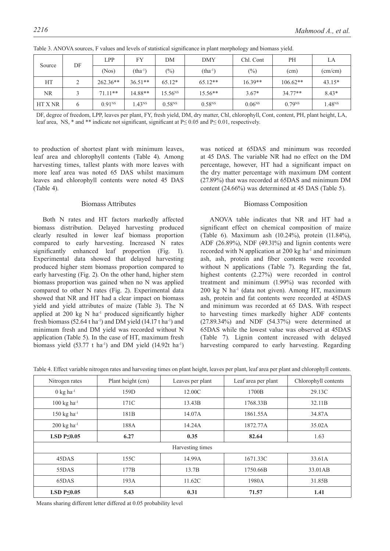| DF<br>Source |        | LPP                | FY                 | DМ           | <b>DMY</b>  | Chl. Cont   | PH               | LA                 |
|--------------|--------|--------------------|--------------------|--------------|-------------|-------------|------------------|--------------------|
|              | (Nos)  | $(tha-1)$          | $(\%)$             | $(tha^{-1})$ | $(\%)$      | (cm)        | $\text{(cm/cm)}$ |                    |
| HT           | $\sim$ | $262.36**$         | $36.51**$          | $65.12*$     | $65.12**$   | $16.39**$   | $106.62**$       | $43.15*$           |
| NR.          |        | $71.11**$          | 14.88**            | $15.56^{NS}$ | $15.56**$   | $3.67*$     | $34.77**$        | $8.43*$            |
| HT X NR      | 6      | 0.91 <sup>NS</sup> | 1.43 <sup>NS</sup> | $0.58^{NS}$  | $0.58^{NS}$ | $0.06^{NS}$ | $0.79^{NS}$      | 1.48 <sup>NS</sup> |

Table 3. ANOVA sources, F values and levels of statistical significance in plant morphology and biomass yield.

DF, degree of freedom, LPP, leaves per plant, FY, fresh yield, DM, dry matter, Chl, chlorophyll, Cont, content, PH, plant height, LA, leaf area, NS,  $*$  and  $**$  indicate not significant, significant at P≤ 0.05 and P≤ 0.01, respectively.

to production of shortest plant with minimum leaves, leaf area and chlorophyll contents (Table 4). Among harvesting times, tallest plants with more leaves with more leaf area was noted 65 DAS whilst maximum leaves and chlorophyll contents were noted 45 DAS (Table 4).

#### Biomass Attributes

Both N rates and HT factors markedly affected biomass distribution. Delayed harvesting produced clearly resulted in lower leaf biomass proportion compared to early harvesting. Increased N rates significantly enhanced leaf proportion (Fig. 1). Experimental data showed that delayed harvesting produced higher stem biomass proportion compared to early harvesting (Fig. 2). On the other hand, higher stem biomass proportion was gained when no N was applied compared to other N rates (Fig. 2). Experimental data showed that NR and HT had a clear impact on biomass yield and yield attributes of maize (Table 3). The N applied at  $200 \text{ kg}$  N ha<sup>-1</sup> produced significantly higher fresh biomass  $(52.64 \text{ tha}^{-1})$  and DM yield  $(14.17 \text{ tha}^{-1})$  and minimum fresh and DM yield was recorded without N application (Table 5). In the case of HT, maximum fresh biomass yield  $(53.77 \text{ t} \text{ ha}^{-1})$  and DM yield  $(14.92 \text{ t} \text{ ha}^{-1})$ 

was noticed at 65DAS and minimum was recorded at 45 DAS. The variable NR had no effect on the DM percentage, however, HT had a significant impact on the dry matter percentage with maximum DM content (27.89%) that was recorded at 65DAS and minimum DM content (24.66%) was determined at 45 DAS (Table 5).

# Biomass Composition

ANOVA table indicates that NR and HT had a significant effect on chemical composition of maize (Table 6). Maximum ash (10.24%), protein (11.84%), ADF (26.89%), NDF (49.31%) and lignin contents were recorded with N application at 200 kg ha<sup>-1</sup> and minimum ash, ash, protein and fiber contents were recorded without N applications (Table 7). Regarding the fat, highest contents (2.27%) were recorded in control treatment and minimum (1.99%) was recorded with  $200 \text{ kg}$  N ha<sup>-1</sup> (data not given). Among HT, maximum ash, protein and fat contents were recorded at 45DAS and minimum was recorded at 65 DAS. With respect to harvesting times markedly higher ADF contents (27.89.34%) and NDF (54.37%) were determined at 65DAS while the lowest value was observed at 45DAS (Table 7). Lignin content increased with delayed harvesting compared to early harvesting. Regarding

| Nitrogen rates                   | Plant height (cm) | Leaves per plant | Leaf area per plant |         |
|----------------------------------|-------------------|------------------|---------------------|---------|
| $0 \text{ kg} \text{ ha}^{-1}$   | 159D              | 12.00C           | 1700B               | 29.13C  |
| $100 \text{ kg} \text{ ha}^{-1}$ | 171C              | 13.43B           | 1768.33B            | 32.11B  |
| $150 \text{ kg} \text{ ha}^{-1}$ | 181B              | 14.07A           | 1861.55A            | 34.87A  |
| $200 \text{ kg} \text{ ha}^{-1}$ | 188A              | 14.24A           | 1872.77A            | 35.02A  |
| LSD $P\leq 0.05$                 | 6.27              | 0.35             | 82.64               | 1.63    |
|                                  |                   | Harvesting times |                     |         |
| 45DAS                            | 155C              | 14.99A           | 1671.33C            | 33.61A  |
| 55DAS                            | 177B              | 13.7B            | 1750.66B            | 33.01AB |
| 65DAS                            | 193A              | 11.62C           | 1980A               | 31.85B  |
| LSD $P\leq 0.05$                 | 5.43              | 0.31             | 71.57               | 1.41    |

Table 4. Effect variable nitrogen rates and harvesting times on plant height, leaves per plant, leaf area per plant and chlorophyll contents.

Means sharing different letter differed at 0.05 probability level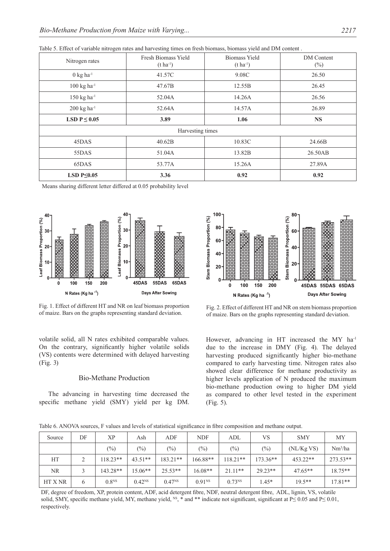|  |  | Table 5. Effect of variable nitrogen rates and harvesting times on fresh biomass, biomass yield and DM content. |  |  |  |  |
|--|--|-----------------------------------------------------------------------------------------------------------------|--|--|--|--|
|  |  |                                                                                                                 |  |  |  |  |

| Nitrogen rates                   | Fresh Biomass Yield<br>$(t \, ha^{-1})$ | <b>Biomass Yield</b><br>$(t \, ha^{-1})$ | <b>DM</b> Content<br>$(\%)$ |
|----------------------------------|-----------------------------------------|------------------------------------------|-----------------------------|
| $0 \text{ kg} \text{ ha}^{-1}$   | 41.57C                                  | 9.08C                                    | 26.50                       |
| $100 \text{ kg} \text{ ha}^{-1}$ | 47.67B                                  | 12.55B                                   | 26.45                       |
| $150 \text{ kg} \text{ ha}^{-1}$ | 52.04A                                  | 14.26A                                   | 26.56                       |
| $200 \text{ kg} \text{ ha}^{-1}$ | 52.64A                                  | 14.57A                                   | 26.89                       |
| LSD $P \leq 0.05$                | 3.89                                    | 1.06                                     | <b>NS</b>                   |
|                                  | Harvesting times                        |                                          |                             |
| 45DAS                            | 40.62B                                  | 10.83C                                   | 24.66B                      |
| 55DAS                            | 51.04A                                  | 13.82B                                   | 26.50AB                     |
| 65DAS                            | 53.77A                                  | 15.26A                                   | 27.89A                      |
| LSD $P \leq 0.05$                | 3.36                                    | 0.92                                     | 0.92                        |

Means sharing different letter differed at 0.05 probability level



Fig. 1. Effect of different HT and NR on leaf biomass proportion of maize. Bars on the graphs representing standard deviation.

volatile solid, all N rates exhibited comparable values. On the contrary, significantly higher volatile solids (VS) contents were determined with delayed harvesting (Fig. 3)

## Bio-Methane Production

The advancing in harvesting time decreased the specific methane yield (SMY) yield per kg DM.



Fig. 2. Effect of different HT and NR on stem biomass proportion of maize. Bars on the graphs representing standard deviation.

However, advancing in HT increased the MY ha<sup>-1</sup> due to the increase in DMY (Fig. 4). The delayed harvesting produced significantly higher bio-methane compared to early harvesting time. Nitrogen rates also showed clear difference for methane productivity as higher levels application of N produced the maximum bio-methane production owing to higher DM yield as compared to other level tested in the experiment (Fig. 5).

Table 6. ANOVA sources, F values and levels of statistical significance in fibre composition and methane output.

| Source         | DF | ХP                | Ash         | ADF         | <b>NDF</b>         | ADL               | VS         | <b>SMY</b> | MY                  |
|----------------|----|-------------------|-------------|-------------|--------------------|-------------------|------------|------------|---------------------|
|                |    | $(\%)$            | $(\%)$      | $(\%)$      | $(\%)$             | $\left(\%\right)$ | $(\%)$     | (NL/KgVS)  | Nm <sup>3</sup> /ha |
| HT             |    | $118.23**$        | $43.51**$   | $18321**$   | $166.88**$         | $118.21**$        | $173.36**$ | $453.22**$ | 273.53**            |
| <b>NR</b>      |    | $143.28**$        | $15.06**$   | $25.53**$   | $16.08**$          | $21.11**$         | $29.23**$  | $47.65**$  | $18.75**$           |
| <b>HT X NR</b> | 6  | 0.8 <sup>NS</sup> | $0.42^{NS}$ | $0.47^{NS}$ | 0.91 <sup>NS</sup> | $0.73^{NS}$       | $1.45*$    | $19.5**$   | $17.81**$           |

DF, degree of freedom, XP, protein content, ADF, acid detergent fibre, NDF, neutral detergent fibre, ADL, lignin, VS, volatile solid, SMY, specific methane yield, MY, methane yield, <sup>NS</sup>, \* and \*\* indicate not significant, significant at P≤ 0.05 and P≤ 0.01, respectively.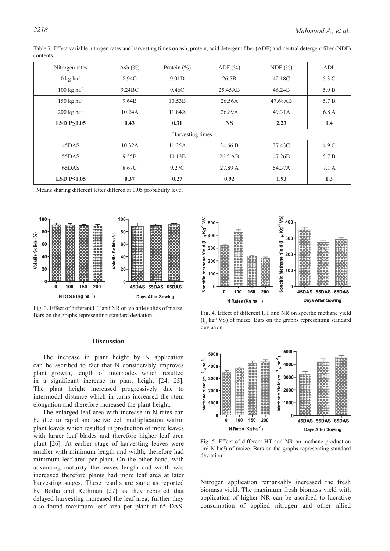| Nitrogen rates                   | Ash $(\%)$         | Protein $(\% )$  | ADF $(\% )$ | NDF $(\% )$ | ADL   |
|----------------------------------|--------------------|------------------|-------------|-------------|-------|
| $0 \text{ kg } ha^{-1}$          | 8.94C              | 9.01D            | 26.5B       | 42.18C      | 5.3 C |
| $100 \text{ kg} \text{ ha}^{-1}$ | 9.24 <sub>BC</sub> | 9.46C            | 25.45AB     | 46.24B      | 5.9 B |
| $150 \text{ kg} \text{ ha}^{-1}$ | 9.64B              | 10.53B           | 26.56A      | 47.68AB     | 5.7 B |
| $200 \text{ kg} \text{ ha}^{-1}$ | 10.24A             | 11.84A           | 26.89A      | 49.31A      | 6.8A  |
| LSD $P\leq 0.05$                 | 0.43               | 0.31             | <b>NS</b>   | 2.23        | 0.4   |
|                                  |                    | Harvesting times |             |             |       |
| 45DAS                            | 10.32A             | 11.25A           | 24.66 B     | 37.43C      | 4.9 C |
| 55DAS                            | 9.55B              | 10.13B           | 26.5 AB     | 47.26B      | 5.7 B |
| 65DAS                            | 8.67C              | 9.27C            | 27.89 A     | 54.37A      | 7.1A  |
| LSD $P\leq 0.05$                 | 0.37               | 0.27             | 0.92        | 1.93        | 1.3   |

Table 7. Effect variable nitrogen rates and harvesting times on ash, protein, acid detergent fiber (ADF) and neutral detergent fiber (NDF) contents.

Means sharing different letter differed at 0.05 probability level



Fig. 3. Effect of different HT and NR on volatile solids of maize. Bars on the graphs representing standard deviation.

### **Discussion**

The increase in plant height by N application can be ascribed to fact that N considerably improves plant growth, length of internodes which resulted in a significant increase in plant height [24, 25]. The plant height increased progressively due to intermodal distance which in turns increased the stem elongation and therefore increased the plant height.

The enlarged leaf area with increase in N rates can be due to rapid and active cell multiplication within plant leaves which resulted in production of more leaves with larger leaf blades and therefore higher leaf area plant [26]. At earlier stage of harvesting leaves were smaller with minimum length and width, therefore had minimum leaf area per plant. On the other hand, with advancing maturity the leaves length and width was increased therefore plants had more leaf area at later harvesting stages. These results are same as reported by Botha and Rethman [27] as they reported that delayed harvesting increased the leaf area, further they also found maximum leaf area per plant at 65 DAS.







Fig. 5. Effect of different HT and NR on methane production (m<sup>3</sup> N ha<sup>-1</sup>) of maize. Bars on the graphs representing standard deviation.

Nitrogen application remarkably increased the fresh biomass yield. The maximum fresh biomass yield with application of higher NR can be ascribed to lucrative consumption of applied nitrogen and other allied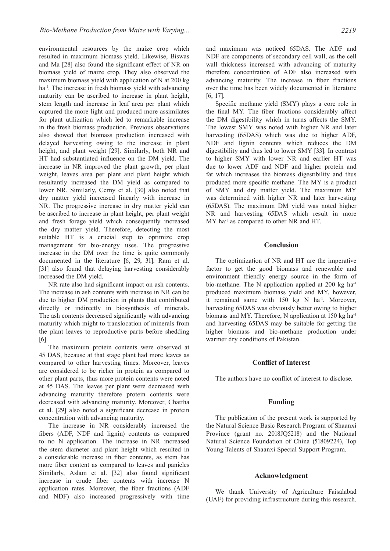environmental resources by the maize crop which resulted in maximum biomass yield. Likewise, Biswas and Ma [28] also found the significant effect of NR on biomass yield of maize crop. They also observed the maximum biomass yield with application of N at 200 kg ha<sup>-1</sup>. The increase in fresh biomass yield with advancing maturity can be ascribed to increase in plant height, stem length and increase in leaf area per plant which captured the more light and produced more assimilates for plant utilization which led to remarkable increase in the fresh biomass production. Previous observations also showed that biomass production increased with delayed harvesting owing to the increase in plant height, and plant weight [29]. Similarly, both NR and HT had substantiated influence on the DM yield. The increase in NR improved the plant growth, per plant weight, leaves area per plant and plant height which resultantly increased the DM yield as compared to lower NR. Similarly, Cerny et al. [30] also noted that dry matter yield increased linearly with increase in NR. The progressive increase in dry matter yield can be ascribed to increase in plant height, per plant weight and fresh forage yield which consequently increased the dry matter yield. Therefore, detecting the most suitable HT is a crucial step to optimize crop management for bio-energy uses. The progressive increase in the DM over the time is quite commonly documented in the literature [6, 29, 31]. Ram et al. [31] also found that delaying harvesting considerably increased the DM yield.

NR rate also had significant impact on ash contents. The increase in ash contents with increase in NR can be due to higher DM production in plants that contributed directly or indirectly in biosynthesis of minerals. The ash contents decreased significantly with advancing maturity which might to translocation of minerals from the plant leaves to reproductive parts before shedding [6].

The maximum protein contents were observed at 45 DAS, because at that stage plant had more leaves as compared to other harvesting times. Moreover, leaves are considered to be richer in protein as compared to other plant parts, thus more protein contents were noted at 45 DAS. The leaves per plant were decreased with advancing maturity therefore protein contents were decreased with advancing maturity. Moreover, Chattha et al. [29] also noted a significant decrease in protein concentration with advancing maturity.

The increase in NR considerably increased the fibers (ADF, NDF and lignin) contents as compared to no N application. The increase in NR increased the stem diameter and plant height which resulted in a considerable increase in fiber contents, as stem has more fiber content as compared to leaves and panicles Similarly, Aslam et al. [32] also found significant increase in crude fiber contents with increase N application rates. Moreover, the fiber fractions (ADF and NDF) also increased progressively with time and maximum was noticed 65DAS. The ADF and NDF are components of secondary cell wall, as the cell wall thickness increased with advancing of maturity therefore concentration of ADF also increased with advancing maturity. The increase in fiber fractions over the time has been widely documented in literature [6, 17].

Specific methane yield (SMY) plays a core role in the final MY. The fiber fractions considerably affect the DM digestibility which in turns affects the SMY. The lowest SMY was noted with higher NR and later harvesting (65DAS) which was due to higher ADF, NDF and lignin contents which reduces the DM digestibility and thus led to lower SMY [33]. In contrast to higher SMY with lower NR and earlier HT was due to lower ADF and NDF and higher protein and fat which increases the biomass digestibility and thus produced more specific methane. The MY is a product of SMY and dry matter yield. The maximum MY was determined with higher NR and later harvesting (65DAS). The maximum DM yield was noted higher NR and harvesting 65DAS which result in more MY ha<sup>-1</sup> as compared to other NR and HT.

#### **Conclusion**

The optimization of NR and HT are the imperative factor to get the good biomass and renewable and environment friendly energy source in the form of bio-methane. The N application applied at  $200 \text{ kg}$  ha<sup>-1</sup> produced maximum biomass yield and MY, however, it remained same with 150 kg N ha<sup>-1</sup>. Moreover, harvesting 65DAS was obviously better owing to higher biomass and MY. Therefore, N application at 150 kg ha<sup>-1</sup> and harvesting 65DAS may be suitable for getting the higher biomass and bio-methane production under warmer dry conditions of Pakistan.

## **Conflict of Interest**

The authors have no conflict of interest to disclose.

#### **Funding**

The publication of the present work is supported by the Natural Science Basic Research Program of Shaanxi Province (grant no. 2018JQ5218) and the National Natural Science Foundation of China (51809224), Top Young Talents of Shaanxi Special Support Program.

## **Acknowledgment**

We thank University of Agriculture Faisalabad (UAF) for providing infrastructure during this research.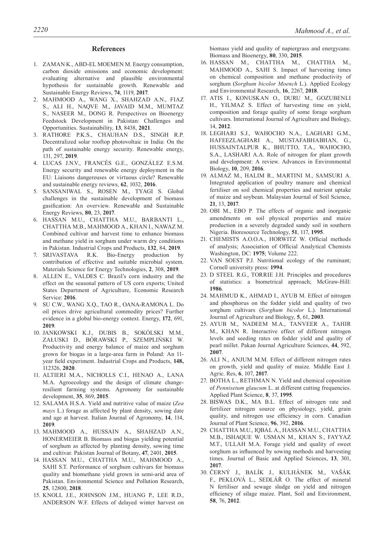#### **References**

- 1. ZAMAN K., ABD-EL MOEMEN M. Energy consumption, carbon dioxide emissions and economic development: evaluating alternative and plausible environmental hypothesis for sustainable growth. Renewable and Sustainable Energy Reviews, **74**, 1119, **2017**.
- 2. MAHMOOD A., WANG X., SHAHZAD A.N., FIAZ S., ALI H., NAQVE M., JAVAID M.M., MUMTAZ S., NASEER M., DONG R. Perspectives on Bioenergy Feedstock Development in Pakistan: Challenges and Opportunities. Sustainability, **13**, 8438, **2021**.
- 3. RATHORE P.K.S., CHAUHAN D.S., SINGH R.P. Decentralized solar rooftop photovoltaic in India: On the path of sustainable energy security. Renewable energy, 131, 297, **2019**.
- 4. LUCAS J.N.V., FRANCÉS G.E., GONZÁLEZ E.S.M. Energy security and renewable energy deployment in the EU: Liaisons dangereuses or virtuous circle? Renewable and sustainable energy reviews, **62**, 1032, **2016**.
- 5. SANSANIWAL S., ROSEN M., TYAGI S. Global challenges in the sustainable development of biomass gasification: An overview. Renewable and Sustainable Energy Reviews, **80**, 23, **2017**.
- 6. HASSAN M.U., CHATTHA M.U., BARBANTI L., CHATTHA M.B., MAHMOOD A., KHAN I., NAWAZ M. Combined cultivar and harvest time to enhance biomass and methane yield in sorghum under warm dry conditions in Pakistan. Industrial Crops and Products, **132**, 84, **2019**.
- 7. SRIVASTAVA R.K. Bio-Energy production by contribution of effective and suitable microbial system. Materials Science for Energy Technologies, **2**, 308, **2019**.
- 8. ALLEN E., VALDES C. Brazil's corn industry and the effect on the seasonal pattern of US corn exports; United States Department of Agriculture, Economic Research Service: **2016**.
- 9. SU C.W., WANG X.Q., TAO R., OANA-RAMONA L. Do oil prices drive agricultural commodity prices? Further evidence in a global bio-energy context. Energy, **172**, 691, **2019**.
- 10. JANKOWSKI K.J., DUBIS B., SOKÓLSKI M.M., ZAŁUSKI D., BÓRAWSKI P., SZEMPLIŃSKI W. Productivity and energy balance of maize and sorghum grown for biogas in a large-area farm in Poland: An 11 year field experiment. Industrial Crops and Products, **148,** 112326, **2020**.
- 11. ALTIERI M.A., NICHOLLS C.I., HENAO A., LANA M.A. Agroecology and the design of climate changeresilient farming systems. Agronomy for sustainable development, **35**, 869, **2015**.
- 12. SALAMA H.S.A. Yield and nutritive value of maize (*Zea mays* L.) forage as affected by plant density, sowing date and age at harvest. Italian Journal of Agronomy, **14**, 114, **2019**.
- 13. MAHMOOD A., HUSSAIN A., SHAHZAD A.N., HONERMEIER B. Biomass and biogas yielding potential of sorghum as affected by planting density, sowing time and cultivar. Pakistan Journal of Botany, **47**, 2401, **2015**.
- 14. HASSAN M.U., CHATTHA M.U., MAHMOOD A., SAHI S.T. Performance of sorghum cultivars for biomass quality and biomethane yield grown in semi-arid area of Pakistan. Environmental Science and Pollution Research, **25**, 12800, **2018**.
- 15. KNOLL J.E., JOHNSON J.M., HUANG P., LEE R.D., ANDERSON W.F. Effects of delayed winter harvest on

biomass yield and quality of napiergrass and energycane. Biomass and Bioenergy, **80**, 330, **2015**.

- 16. HASSAN M., CHATTHA M., CHATTHA M., MAHMOOD A., SAHI S. Impact of harvesting times on chemical composition and methane productivity of sorghum (*Sorghum bicolor Moench* L.). Applied Ecology and Environmental Research, **16**, 2267, **2018**.
- 17. ATIS I., KONUSKAN O., DURU M., GOZUBENLI H., YILMAZ S. Effect of harvesting time on yield, composition and forage quality of some forage sorghum cultivars. International Journal of Agriculture and Biology, 14, **2012**.
- 18. LEGHARI S.J., WAHOCHO N.A., LAGHARI G.M., HAFEEZLAGHARI A., MUSTAFABHABHAN, G., HUSSAINTALPUR K., BHUTTO, T.A., WAHOCHO, S.A., LASHARI A.A. Role of nitrogen for plant growth and development: A review. Advances in Environmental Biology, **10**, 209, **2016**.
- 19. ALMAZ M., HALIM R., MARTINI M., SAMSURI A. Integrated application of poultry manure and chemical fertiliser on soil chemical properties and nutrient uptake of maize and soybean. Malaysian Journal of Soil Science, **21**, 13, **2017**.
- 20. OBI M., EBO P. The effects of organic and inorganic amendments on soil physical properties and maize production in a severely degraded sandy soil in southern Nigeria. Bioresource Technology, **51**, 117, **1995**.
- 21. CHEMISTS A.O.O.A., HORWITZ W. Official methods of analysis; Association of Official Analytical Chemists Washington, DC: **1975**; Volume 222.
- 22. VAN SOEST P.J. Nutritional ecology of the ruminant; Cornell university press: **1994**.
- 23. D STEEL R.G., TORRIE J.H. Principles and procedures of statistics: a biometrical approach; McGraw-Hill: **1986**.
- 24. MAHMUD K., AHMAD I., AYUB M. Effect of nitrogen and phosphorus on the fodder yield and quality of two sorghum cultivars (*Sorghum bicolor* L.). International Journal of Agriculture and Biology, **5**, 61, **2003**.
- 25. AYUB M., NADEEM M.A., TANVEER A., TAHIR M., KHAN R. Interactive effect of different nitrogen levels and seeding rates on fodder yield and quality of pearl millet. Pakan Journal Agriculture Sciences, **44**, 592, **2007**.
- 26. ALI N., ANJUM M.M. Effect of different nitrogen rates on growth, yield and quality of maize. Middle East J. Agric. Res, **6**, 107, **2017**.
- 27. BOTHA L., RETHMAN N. Yield and chemical coposition of *pennisetum glaucum* L. at different cutting frequencies. Applied Plant Science, **8**, 37, **1995**.
- 28. BISWAS D.K., MA B.L. Effect of nitrogen rate and fertilizer nitrogen source on physiology, yield, grain quality, and nitrogen use efficiency in corn. Canadian Journal of Plant Science, **96**, 392, **2016**.
- 29. CHATTHA M.U., IQBAL A., HASSAN M.U., CHATTHA M.B., ISHAQUE W. USMAN M., KHAN S., FAYYAZ M.T., ULLAH M.A. Forage yield and quality of sweet sorghum as influenced by sowing methods and harvesting times. Journal of Basic and Applied Sciences, **13**, 301, **2017**.
- 30. ČERNÝ J., BALÍK J., KULHÁNEK M., VAŠÁK F., PEKLOVÁ L., SEDLÁŘ O. The effect of mineral N fertiliser and sewage sludge on yield and nitrogen efficiency of silage maize. Plant, Soil and Environment, **58**, 76, **2012**.